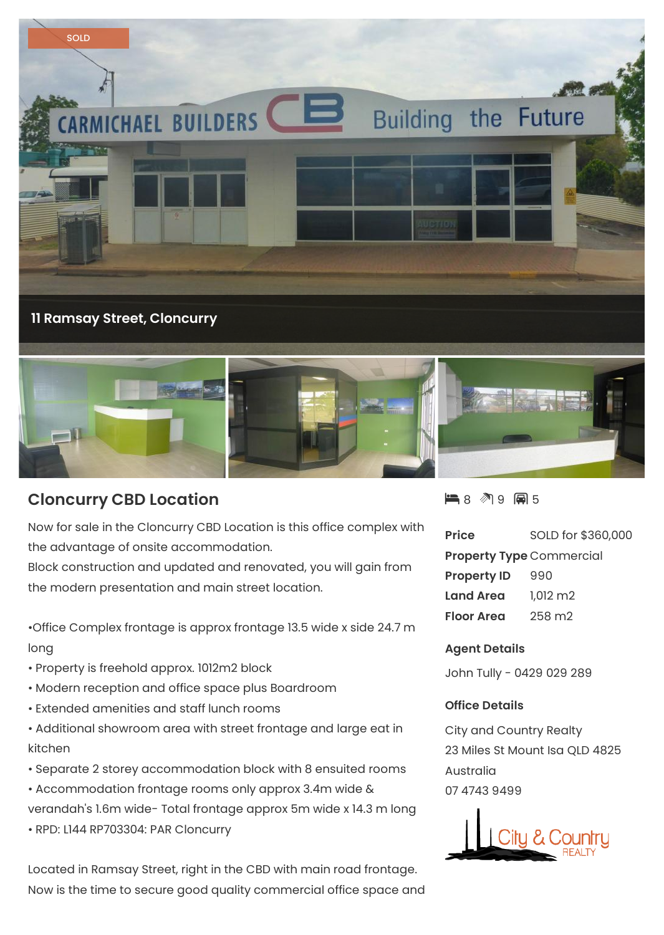

## **Cloncurry CBD Location**

Now for sale in the Cloncurry CBD Location is this office complex with the advantage of onsite accommodation.

Block construction and updated and renovated, you will gain from the modern presentation and main street location.

•Office Complex frontage is approx frontage 13.5 wide x side 24.7 m long

- Property is freehold approx. 1012m2 block
- Modern reception and office space plus Boardroom
- Extended amenities and staff lunch rooms
- Additional showroom area with street frontage and large eat in kitchen
- Separate 2 storey accommodation block with 8 ensuited rooms
- Accommodation frontage rooms only approx 3.4m wide & verandah's 1.6m wide- Total frontage approx 5m wide x 14.3 m long
- RPD: L144 RP703304: PAR Cloncurry

Located in Ramsay Street, right in the CBD with main road frontage. Now is the time to secure good quality commercial office space and ■8 图9 圓5

| <b>Price</b>                    | SOLD for \$360,000  |
|---------------------------------|---------------------|
| <b>Property Type Commercial</b> |                     |
| <b>Property ID</b>              | 990                 |
| <b>Land Area</b>                | $1,012 \, \text{m}$ |
| <b>Floor Area</b>               | 258 m2              |

## **Agent Details**

John Tully - 0429 029 289

## **Office Details**

City and Country Realty 23 Miles St Mount Isa QLD 4825 Australia 07 4743 9499